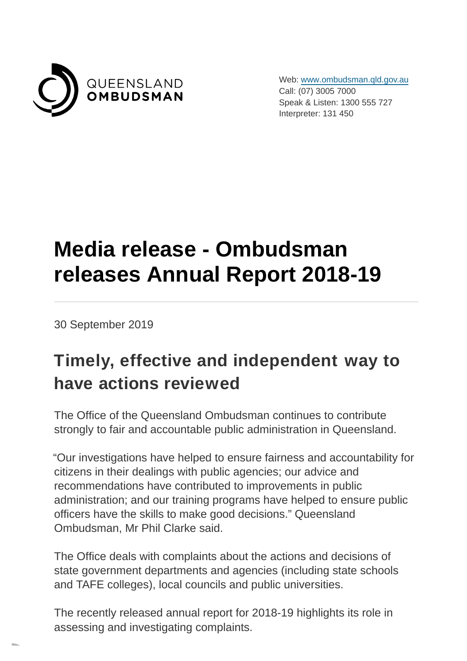

Web: [www.ombudsman.qld.gov.au](https://www.ombudsman.qld.gov.au/) Call: (07) 3005 7000 Speak & Listen: 1300 555 727 Interpreter: 131 450

## **Media release - Ombudsman releases Annual Report 2018-19**

30 September 2019

## **Timely, effective and independent way to have actions reviewed**

The Office of the Queensland Ombudsman continues to contribute strongly to fair and accountable public administration in Queensland.

"Our investigations have helped to ensure fairness and accountability for citizens in their dealings with public agencies; our advice and recommendations have contributed to improvements in public administration; and our training programs have helped to ensure public officers have the skills to make good decisions." Queensland Ombudsman, Mr Phil Clarke said.

The Office deals with complaints about the actions and decisions of state government departments and agencies (including state schools and TAFE colleges), local councils and public universities.

The recently released annual report for 2018-19 highlights its role in assessing and investigating complaints.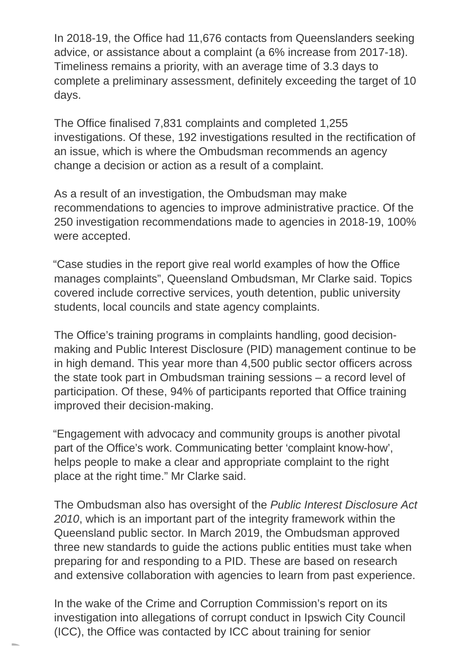In 2018-19, the Office had 11,676 contacts from Queenslanders seeking advice, or assistance about a complaint (a 6% increase from 2017-18). Timeliness remains a priority, with an average time of 3.3 days to complete a preliminary assessment, definitely exceeding the target of 10 days.

The Office finalised 7,831 complaints and completed 1,255 investigations. Of these, 192 investigations resulted in the rectification of an issue, which is where the Ombudsman recommends an agency change a decision or action as a result of a complaint.

As a result of an investigation, the Ombudsman may make recommendations to agencies to improve administrative practice. Of the 250 investigation recommendations made to agencies in 2018-19, 100% were accepted.

"Case studies in the report give real world examples of how the Office manages complaints", Queensland Ombudsman, Mr Clarke said. Topics covered include corrective services, youth detention, public university students, local councils and state agency complaints.

The Office's training programs in complaints handling, good decisionmaking and Public Interest Disclosure (PID) management continue to be in high demand. This year more than 4,500 public sector officers across the state took part in Ombudsman training sessions – a record level of participation. Of these, 94% of participants reported that Office training improved their decision-making.

"Engagement with advocacy and community groups is another pivotal part of the Office's work. Communicating better 'complaint know-how', helps people to make a clear and appropriate complaint to the right place at the right time." Mr Clarke said.

The Ombudsman also has oversight of the Public Interest Disclosure Act 2010, which is an important part of the integrity framework within the Queensland public sector. In March 2019, the Ombudsman approved three new standards to guide the actions public entities must take when preparing for and responding to a PID. These are based on research and extensive collaboration with agencies to learn from past experience.

In the wake of the Crime and Corruption Commission's report on its investigation into allegations of corrupt conduct in Ipswich City Council (ICC), the Office was contacted by ICC about training for senior